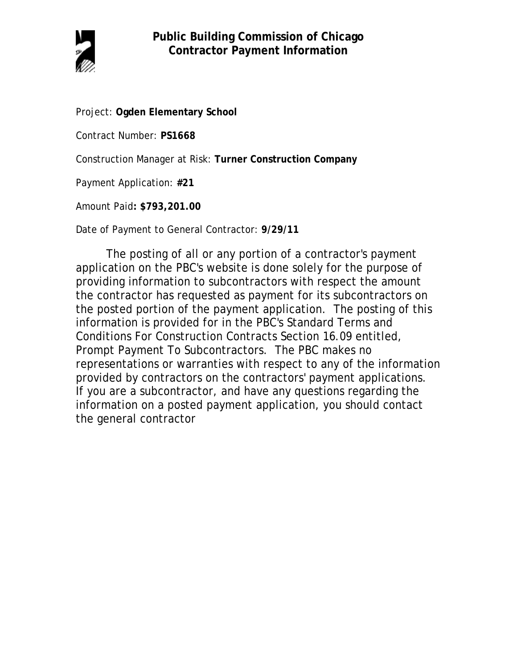

Project: **Ogden Elementary School**

Contract Number: **PS1668**

Construction Manager at Risk: **Turner Construction Company**

Payment Application: **#21**

Amount Paid**: \$793,201.00**

Date of Payment to General Contractor: **9/29/11**

The posting of all or any portion of a contractor's payment application on the PBC's website is done solely for the purpose of providing information to subcontractors with respect the amount the contractor has requested as payment for its subcontractors on the posted portion of the payment application. The posting of this information is provided for in the PBC's Standard Terms and Conditions For Construction Contracts Section 16.09 entitled, Prompt Payment To Subcontractors. The PBC makes no representations or warranties with respect to any of the information provided by contractors on the contractors' payment applications. If you are a subcontractor, and have any questions regarding the information on a posted payment application, you should contact the general contractor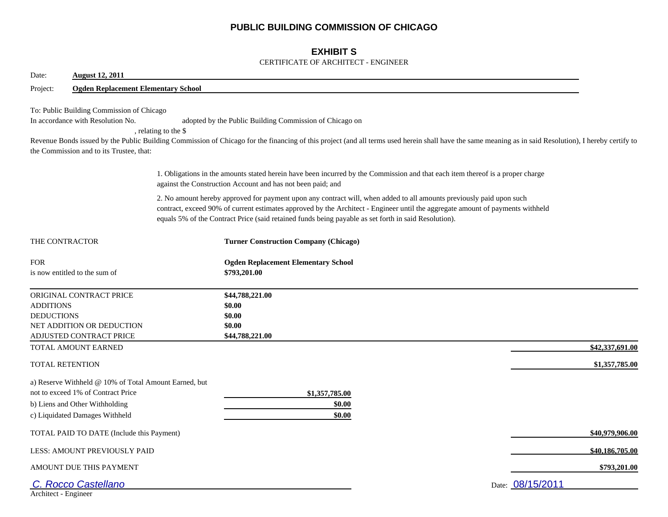## **PUBLIC BUILDING COMMISSION OF CHICAGO**

## **EXHIBIT S**

#### CERTIFICATE OF ARCHITECT - ENGINEER

| Date:<br><b>August 12, 2011</b>                                                                                            |                                                       |                                                                                                                                                                                                                                                                                                                                                                |                  |  |  |  |  |  |
|----------------------------------------------------------------------------------------------------------------------------|-------------------------------------------------------|----------------------------------------------------------------------------------------------------------------------------------------------------------------------------------------------------------------------------------------------------------------------------------------------------------------------------------------------------------------|------------------|--|--|--|--|--|
| Project:                                                                                                                   | <b>Ogden Replacement Elementary School</b>            |                                                                                                                                                                                                                                                                                                                                                                |                  |  |  |  |  |  |
| To: Public Building Commission of Chicago<br>In accordance with Resolution No.<br>the Commission and to its Trustee, that: | , relating to the \$                                  | adopted by the Public Building Commission of Chicago on<br>Revenue Bonds issued by the Public Building Commission of Chicago for the financing of this project (and all terms used herein shall have the same meaning as in said Resolution), I hereby certify to                                                                                              |                  |  |  |  |  |  |
|                                                                                                                            |                                                       | 1. Obligations in the amounts stated herein have been incurred by the Commission and that each item thereof is a proper charge<br>against the Construction Account and has not been paid; and                                                                                                                                                                  |                  |  |  |  |  |  |
|                                                                                                                            |                                                       | 2. No amount hereby approved for payment upon any contract will, when added to all amounts previously paid upon such<br>contract, exceed 90% of current estimates approved by the Architect - Engineer until the aggregate amount of payments withheld<br>equals 5% of the Contract Price (said retained funds being payable as set forth in said Resolution). |                  |  |  |  |  |  |
| THE CONTRACTOR                                                                                                             |                                                       | <b>Turner Construction Company (Chicago)</b>                                                                                                                                                                                                                                                                                                                   |                  |  |  |  |  |  |
| <b>FOR</b><br>is now entitled to the sum of                                                                                |                                                       | <b>Ogden Replacement Elementary School</b><br>\$793,201.00                                                                                                                                                                                                                                                                                                     |                  |  |  |  |  |  |
| ORIGINAL CONTRACT PRICE<br><b>ADDITIONS</b><br><b>DEDUCTIONS</b><br>NET ADDITION OR DEDUCTION<br>ADJUSTED CONTRACT PRICE   |                                                       | \$44,788,221.00<br>\$0.00<br>\$0.00<br>\$0.00<br>\$44,788,221.00                                                                                                                                                                                                                                                                                               |                  |  |  |  |  |  |
| TOTAL AMOUNT EARNED                                                                                                        |                                                       |                                                                                                                                                                                                                                                                                                                                                                | \$42,337,691.00  |  |  |  |  |  |
| <b>TOTAL RETENTION</b>                                                                                                     |                                                       |                                                                                                                                                                                                                                                                                                                                                                | \$1,357,785.00   |  |  |  |  |  |
| not to exceed 1% of Contract Price<br>b) Liens and Other Withholding<br>c) Liquidated Damages Withheld                     | a) Reserve Withheld @ 10% of Total Amount Earned, but | \$1,357,785.00<br>\$0.00<br>\$0.00                                                                                                                                                                                                                                                                                                                             |                  |  |  |  |  |  |
|                                                                                                                            | TOTAL PAID TO DATE (Include this Payment)             |                                                                                                                                                                                                                                                                                                                                                                | \$40,979,906.00  |  |  |  |  |  |
| LESS: AMOUNT PREVIOUSLY PAID                                                                                               |                                                       |                                                                                                                                                                                                                                                                                                                                                                | \$40,186,705.00  |  |  |  |  |  |
| AMOUNT DUE THIS PAYMENT                                                                                                    |                                                       |                                                                                                                                                                                                                                                                                                                                                                | \$793,201.00     |  |  |  |  |  |
| C. Rocco Castellano<br>Architect - Engineer                                                                                |                                                       |                                                                                                                                                                                                                                                                                                                                                                | Date: 08/15/2011 |  |  |  |  |  |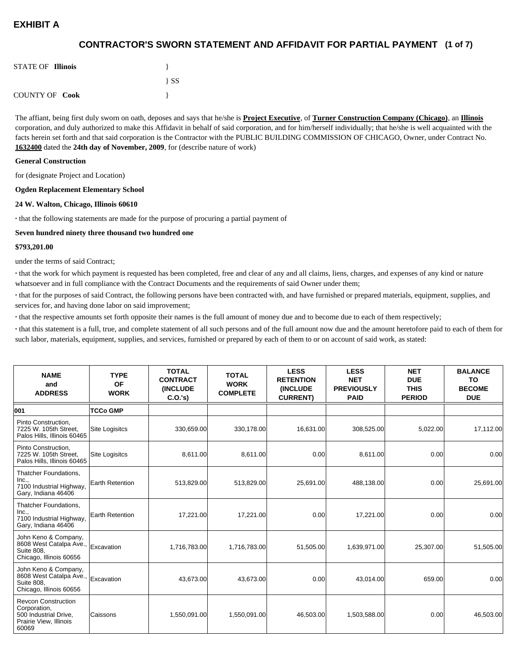## **(1 of 7) CONTRACTOR'S SWORN STATEMENT AND AFFIDAVIT FOR PARTIAL PAYMENT**

| <b>STATE OF Illinois</b> |          |
|--------------------------|----------|
|                          | $\{SS\}$ |
| <b>COUNTY OF Cook</b>    |          |

The affiant, being first duly sworn on oath, deposes and says that he/she is **Project Executive**, of **Turner Construction Company (Chicago)**, an **Illinois** corporation, and duly authorized to make this Affidavit in behalf of said corporation, and for him/herself individually; that he/she is well acquainted with the facts herein set forth and that said corporation is the Contractor with the PUBLIC BUILDING COMMISSION OF CHICAGO, Owner, under Contract No. **1632400** dated the **24th day of November, 2009**, for (describe nature of work)

#### **General Construction**

for (designate Project and Location)

#### **Ogden Replacement Elementary School**

#### **24 W. Walton, Chicago, Illinois 60610**

**·** that the following statements are made for the purpose of procuring a partial payment of

#### **Seven hundred ninety three thousand two hundred one**

#### **\$793,201.00**

under the terms of said Contract;

**·** that the work for which payment is requested has been completed, free and clear of any and all claims, liens, charges, and expenses of any kind or nature whatsoever and in full compliance with the Contract Documents and the requirements of said Owner under them;

**·** that for the purposes of said Contract, the following persons have been contracted with, and have furnished or prepared materials, equipment, supplies, and services for, and having done labor on said improvement;

**·** that the respective amounts set forth opposite their names is the full amount of money due and to become due to each of them respectively;

**·** that this statement is a full, true, and complete statement of all such persons and of the full amount now due and the amount heretofore paid to each of them for such labor, materials, equipment, supplies, and services, furnished or prepared by each of them to or on account of said work, as stated:

| <b>NAME</b><br>and<br><b>ADDRESS</b>                                                                   | <b>TYPE</b><br><b>OF</b><br><b>WORK</b> | <b>TOTAL</b><br><b>CONTRACT</b><br><b>(INCLUDE)</b><br>C.0.'s) | <b>TOTAL</b><br><b>WORK</b><br><b>COMPLETE</b> | <b>LESS</b><br><b>RETENTION</b><br><b>(INCLUDE</b><br><b>CURRENT)</b> | <b>LESS</b><br><b>NET</b><br><b>PREVIOUSLY</b><br><b>PAID</b> | <b>NET</b><br><b>DUE</b><br><b>THIS</b><br><b>PERIOD</b> | <b>BALANCE</b><br>TO<br><b>BECOME</b><br><b>DUE</b> |
|--------------------------------------------------------------------------------------------------------|-----------------------------------------|----------------------------------------------------------------|------------------------------------------------|-----------------------------------------------------------------------|---------------------------------------------------------------|----------------------------------------------------------|-----------------------------------------------------|
| 001                                                                                                    | <b>TCCo GMP</b>                         |                                                                |                                                |                                                                       |                                                               |                                                          |                                                     |
| Pinto Construction,<br>7225 W. 105th Street,<br>Palos Hills, Illinois 60465                            | <b>Site Logisitcs</b>                   | 330,659.00                                                     | 330,178.00                                     | 16,631.00                                                             | 308,525.00                                                    | 5,022.00                                                 | 17,112.00                                           |
| Pinto Construction,<br>7225 W. 105th Street,<br>Palos Hills, Illinois 60465                            | <b>Site Logisitcs</b>                   | 8,611.00                                                       | 8,611.00                                       | 0.00                                                                  | 8,611.00                                                      | 0.00                                                     | 0.00                                                |
| Thatcher Foundations,<br>Inc.,<br>7100 Industrial Highway,<br>Gary, Indiana 46406                      | <b>Earth Retention</b>                  | 513,829.00                                                     | 513,829.00                                     | 25,691.00                                                             | 488,138.00                                                    | 0.00                                                     | 25,691.00                                           |
| Thatcher Foundations,<br>Inc.,<br>7100 Industrial Highway,<br>Gary, Indiana 46406                      | <b>Earth Retention</b>                  | 17,221.00                                                      | 17,221.00                                      | 0.00                                                                  | 17,221.00                                                     | 0.00                                                     | 0.00                                                |
| John Keno & Company,<br>8608 West Catalpa Ave.,<br><b>Suite 808.</b><br>Chicago, Illinois 60656        | Excavation                              | 1,716,783.00                                                   | 1,716,783.00                                   | 51,505.00                                                             | 1,639,971.00                                                  | 25,307.00                                                | 51,505.00                                           |
| John Keno & Company,<br>8608 West Catalpa Ave.,<br><b>Suite 808.</b><br>Chicago, Illinois 60656        | Excavation                              | 43.673.00                                                      | 43,673.00                                      | 0.00                                                                  | 43.014.00                                                     | 659.00                                                   | 0.00                                                |
| <b>Revcon Construction</b><br>Corporation,<br>500 Industrial Drive,<br>Prairie View, Illinois<br>60069 | Caissons                                | 1,550,091.00                                                   | 1,550,091.00                                   | 46,503.00                                                             | 1,503,588.00                                                  | 0.00                                                     | 46,503.00                                           |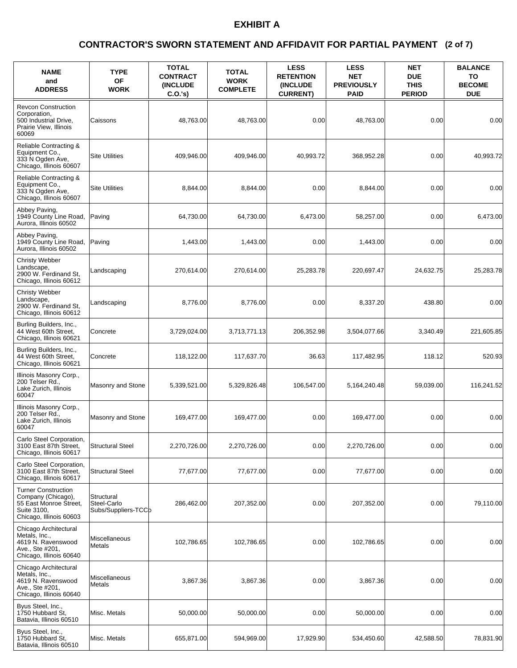### **(2 of 7) CONTRACTOR'S SWORN STATEMENT AND AFFIDAVIT FOR PARTIAL PAYMENT**

| <b>NAME</b><br>and<br><b>ADDRESS</b>                                                                                 | <b>TYPE</b><br><b>OF</b><br><b>WORK</b>          | <b>TOTAL</b><br><b>CONTRACT</b><br><b>(INCLUDE)</b><br>C.O.'s | <b>TOTAL</b><br><b>WORK</b><br><b>COMPLETE</b> | <b>LESS</b><br><b>RETENTION</b><br><b>INCLUDE</b><br><b>CURRENT)</b> | <b>LESS</b><br><b>NET</b><br><b>PREVIOUSLY</b><br><b>PAID</b> | <b>NET</b><br><b>DUE</b><br><b>THIS</b><br><b>PERIOD</b> | <b>BALANCE</b><br>TO<br><b>BECOME</b><br><b>DUE</b> |
|----------------------------------------------------------------------------------------------------------------------|--------------------------------------------------|---------------------------------------------------------------|------------------------------------------------|----------------------------------------------------------------------|---------------------------------------------------------------|----------------------------------------------------------|-----------------------------------------------------|
| <b>Revcon Construction</b><br>Corporation,<br>500 Industrial Drive,<br>Prairie View, Illinois<br>60069               | Caissons                                         | 48,763.00                                                     | 48,763.00                                      | 0.00                                                                 | 48.763.00                                                     | 0.00                                                     | 0.00                                                |
| Reliable Contracting &<br>Equipment Co.,<br>333 N Ogden Ave,<br>Chicago, Illinois 60607                              | <b>Site Utilities</b>                            | 409,946.00                                                    | 409,946.00                                     | 40,993.72                                                            | 368,952.28                                                    | 0.00                                                     | 40,993.72                                           |
| Reliable Contracting &<br>Equipment Co.,<br>333 N Ogden Ave.<br>Chicago, Illinois 60607                              | <b>Site Utilities</b>                            | 8,844.00                                                      | 8,844.00                                       | 0.00                                                                 | 8,844.00                                                      | 0.00                                                     | 0.00                                                |
| Abbey Paving,<br>1949 County Line Road,<br>Aurora, Illinois 60502                                                    | Paving                                           | 64,730.00                                                     | 64,730.00                                      | 6,473.00                                                             | 58,257.00                                                     | 0.00                                                     | 6,473.00                                            |
| Abbey Paving,<br>1949 County Line Road,<br>Aurora, Illinois 60502                                                    | Paving                                           | 1,443.00                                                      | 1,443.00                                       | 0.00                                                                 | 1,443.00                                                      | 0.00                                                     | 0.00                                                |
| <b>Christy Webber</b><br>Landscape,<br>2900 W. Ferdinand St.<br>Chicago, Illinois 60612                              | Landscaping                                      | 270,614.00                                                    | 270,614.00                                     | 25,283.78                                                            | 220,697.47                                                    | 24,632.75                                                | 25,283.78                                           |
| <b>Christy Webber</b><br>Landscape,<br>2900 W. Ferdinand St,<br>Chicago, Illinois 60612                              | Landscaping                                      | 8,776.00                                                      | 8,776.00                                       | 0.00                                                                 | 8,337.20                                                      | 438.80                                                   | 0.00                                                |
| Burling Builders, Inc.,<br>44 West 60th Street,<br>Chicago, Illinois 60621                                           | Concrete                                         | 3,729,024.00                                                  | 3,713,771.13                                   | 206,352.98                                                           | 3,504,077.66                                                  | 3,340.49                                                 | 221,605.85                                          |
| Burling Builders, Inc.,<br>44 West 60th Street,<br>Chicago, Illinois 60621                                           | Concrete                                         | 118,122.00                                                    | 117,637.70                                     | 36.63                                                                | 117,482.95                                                    | 118.12                                                   | 520.93                                              |
| Illinois Masonry Corp.,<br>200 Telser Rd.,<br>Lake Zurich, Illinois<br>60047                                         | Masonry and Stone                                | 5,339,521.00                                                  | 5,329,826.48                                   | 106,547.00                                                           | 5,164,240.48                                                  | 59,039.00                                                | 116.241.52                                          |
| Illinois Masonry Corp.,<br>200 Telser Rd.,<br>Lake Zurich, Illinois<br>60047                                         | Masonry and Stone                                | 169,477.00                                                    | 169,477.00                                     | 0.00                                                                 | 169,477.00                                                    | 0.00                                                     | 0.00                                                |
| Carlo Steel Corporation,<br>3100 East 87th Street,<br>Chicago, Illinois 60617                                        | <b>Structural Steel</b>                          | 2,270,726.00                                                  | 2,270,726.00                                   | 0.00                                                                 | 2,270,726.00                                                  | 0.00                                                     | 0.00                                                |
| Carlo Steel Corporation,<br>3100 East 87th Street,<br>Chicago, Illinois 60617                                        | <b>Structural Steel</b>                          | 77,677.00                                                     | 77,677.00                                      | 0.00                                                                 | 77,677.00                                                     | 0.00                                                     | 0.00                                                |
| <b>Turner Construction</b><br>Company (Chicago),<br>55 East Monroe Street,<br>Suite 3100,<br>Chicago, Illinois 60603 | Structural<br>Steel-Carlo<br>Subs/Suppliers-TCCb | 286,462.00                                                    | 207,352.00                                     | 0.00                                                                 | 207,352.00                                                    | 0.00                                                     | 79,110.00                                           |
| Chicago Architectural<br>Metals, Inc.,<br>4619 N. Ravenswood<br>Ave., Ste #201,<br>Chicago, Illinois 60640           | Miscellaneous<br>Metals                          | 102,786.65                                                    | 102,786.65                                     | 0.00                                                                 | 102,786.65                                                    | 0.00                                                     | 0.00                                                |
| Chicago Architectural<br>Metals, Inc.,<br>4619 N. Ravenswood<br>Ave., Ste #201,<br>Chicago, Illinois 60640           | Miscellaneous<br>Metals                          | 3,867.36                                                      | 3,867.36                                       | 0.00                                                                 | 3,867.36                                                      | 0.00                                                     | 0.00                                                |
| Byus Steel, Inc.,<br>1750 Hubbard St.<br>Batavia, Illinois 60510                                                     | Misc. Metals                                     | 50,000.00                                                     | 50,000.00                                      | 0.00                                                                 | 50,000.00                                                     | 0.00                                                     | 0.00                                                |
| Byus Steel, Inc.,<br>1750 Hubbard St.<br>Batavia, Illinois 60510                                                     | Misc. Metals                                     | 655,871.00                                                    | 594,969.00                                     | 17,929.90                                                            | 534,450.60                                                    | 42,588.50                                                | 78,831.90                                           |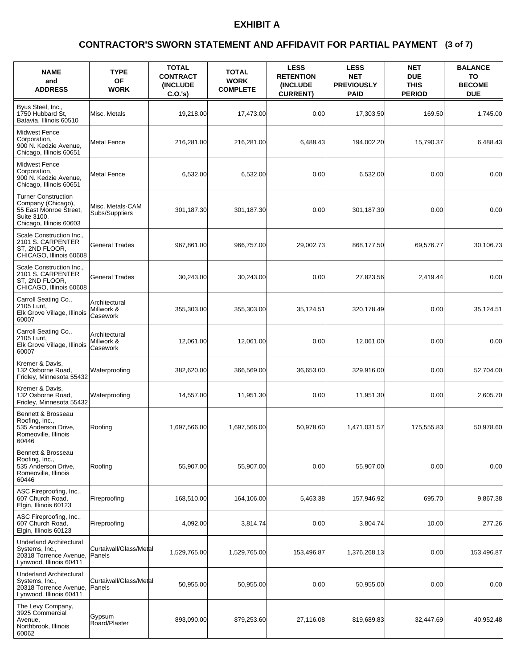### **(3 of 7) CONTRACTOR'S SWORN STATEMENT AND AFFIDAVIT FOR PARTIAL PAYMENT**

| <b>NAME</b><br>and<br><b>ADDRESS</b>                                                                                 | <b>TYPE</b><br>ΟF<br><b>WORK</b>        | <b>TOTAL</b><br><b>CONTRACT</b><br><b>(INCLUDE)</b><br>C.O.'s | <b>TOTAL</b><br><b>WORK</b><br><b>COMPLETE</b> | <b>LESS</b><br><b>RETENTION</b><br><b>INCLUDE</b><br><b>CURRENT)</b> | <b>LESS</b><br><b>NET</b><br><b>PREVIOUSLY</b><br><b>PAID</b> | <b>NET</b><br><b>DUE</b><br><b>THIS</b><br><b>PERIOD</b> | <b>BALANCE</b><br>TO<br><b>BECOME</b><br><b>DUE</b> |
|----------------------------------------------------------------------------------------------------------------------|-----------------------------------------|---------------------------------------------------------------|------------------------------------------------|----------------------------------------------------------------------|---------------------------------------------------------------|----------------------------------------------------------|-----------------------------------------------------|
| Byus Steel, Inc.,<br>1750 Hubbard St,<br>Batavia, Illinois 60510                                                     | Misc. Metals                            | 19,218.00                                                     | 17,473.00                                      | 0.00                                                                 | 17,303.50                                                     | 169.50                                                   | 1,745.00                                            |
| <b>Midwest Fence</b><br>Corporation,<br>900 N. Kedzie Avenue,<br>Chicago, Illinois 60651                             | Metal Fence                             | 216,281.00                                                    | 216,281.00                                     | 6,488.43                                                             | 194,002.20                                                    | 15,790.37                                                | 6.488.43                                            |
| <b>Midwest Fence</b><br>Corporation,<br>900 N. Kedzie Avenue,<br>Chicago, Illinois 60651                             | <b>Metal Fence</b>                      | 6,532.00                                                      | 6,532.00                                       | 0.00                                                                 | 6,532.00                                                      | 0.00                                                     | 0.00                                                |
| <b>Turner Construction</b><br>Company (Chicago),<br>55 East Monroe Street,<br>Suite 3100,<br>Chicago, Illinois 60603 | Misc. Metals-CAM<br>Subs/Suppliers      | 301,187.30                                                    | 301,187.30                                     | 0.00                                                                 | 301,187.30                                                    | 0.00                                                     | 0.00                                                |
| Scale Construction Inc.,<br>2101 S. CARPENTER<br>ST, 2ND FLOOR,<br>CHICAGO, Illinois 60608                           | <b>General Trades</b>                   | 967,861.00                                                    | 966,757.00                                     | 29,002.73                                                            | 868,177.50                                                    | 69,576.77                                                | 30,106.73                                           |
| Scale Construction Inc.,<br>2101 S. CARPENTER<br>ST, 2ND FLOOR,<br>CHICAGO, Illinois 60608                           | <b>General Trades</b>                   | 30,243.00                                                     | 30,243.00                                      | 0.00                                                                 | 27,823.56                                                     | 2,419.44                                                 | 0.00                                                |
| Carroll Seating Co.,<br>2105 Lunt,<br>Elk Grove Village, Illinois<br>60007                                           | Architectural<br>Millwork &<br>Casework | 355,303.00                                                    | 355,303.00                                     | 35,124.51                                                            | 320,178.49                                                    | 0.00                                                     | 35,124.51                                           |
| Carroll Seating Co.,<br>2105 Lunt,<br>Elk Grove Village, Illinois<br>60007                                           | Architectural<br>Millwork &<br>Casework | 12,061.00                                                     | 12,061.00                                      | 0.00                                                                 | 12,061.00                                                     | 0.00                                                     | 0.00                                                |
| Kremer & Davis,<br>132 Osborne Road,<br>Fridley, Minnesota 55432                                                     | Waterproofing                           | 382,620.00                                                    | 366,569.00                                     | 36,653.00                                                            | 329,916.00                                                    | 0.00                                                     | 52,704.00                                           |
| Kremer & Davis,<br>132 Osborne Road,<br>Fridley, Minnesota 55432                                                     | Waterproofing                           | 14,557.00                                                     | 11.951.30                                      | 0.00                                                                 | 11,951.30                                                     | 0.00                                                     | 2,605.70                                            |
| Bennett & Brosseau<br>Roofing, Inc.,<br>535 Anderson Drive,<br>Romeoville, Illinois<br>60446                         | Roofing                                 | 1,697,566.00                                                  | 1,697,566.00                                   | 50,978.60                                                            | 1,471,031.57                                                  | 175,555.83                                               | 50,978.60                                           |
| Bennett & Brosseau<br>Roofing, Inc.,<br>535 Anderson Drive,<br>Romeoville, Illinois<br>60446                         | Roofing                                 | 55,907.00                                                     | 55,907.00                                      | 0.00                                                                 | 55,907.00                                                     | 0.00                                                     | 0.00                                                |
| ASC Fireproofing, Inc.,<br>607 Church Road,<br>Elgin, Illinois 60123                                                 | Fireproofing                            | 168,510.00                                                    | 164,106.00                                     | 5,463.38                                                             | 157,946.92                                                    | 695.70                                                   | 9,867.38                                            |
| ASC Fireproofing, Inc.,<br>607 Church Road,<br>Elgin, Illinois 60123                                                 | Fireproofing                            | 4,092.00                                                      | 3,814.74                                       | 0.00                                                                 | 3,804.74                                                      | 10.00                                                    | 277.26                                              |
| <b>Underland Architectural</b><br>Systems, Inc.,<br>20318 Torrence Avenue,<br>Lynwood, Illinois 60411                | Curtaiwall/Glass/Metal<br>Panels        | 1,529,765.00                                                  | 1,529,765.00                                   | 153,496.87                                                           | 1,376,268.13                                                  | 0.00                                                     | 153,496.87                                          |
| <b>Underland Architectural</b><br>Systems, Inc.,<br>20318 Torrence Avenue,<br>Lynwood, Illinois 60411                | Curtaiwall/Glass/Metal<br><b>Panels</b> | 50,955.00                                                     | 50,955.00                                      | 0.00                                                                 | 50,955.00                                                     | 0.00                                                     | 0.00                                                |
| The Levy Company,<br>3925 Commercial<br>Avenue,<br>Northbrook, Illinois<br>60062                                     | Gypsum<br>Board/Plaster                 | 893,090.00                                                    | 879,253.60                                     | 27,116.08                                                            | 819,689.83                                                    | 32,447.69                                                | 40,952.48                                           |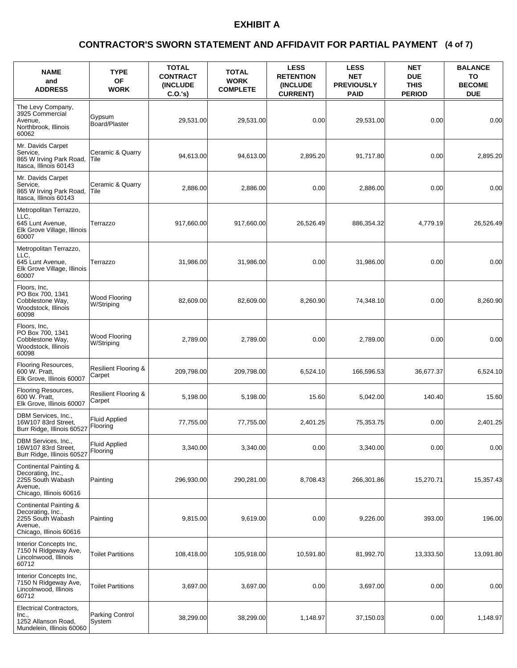### **(4 of 7) CONTRACTOR'S SWORN STATEMENT AND AFFIDAVIT FOR PARTIAL PAYMENT**

| <b>NAME</b><br>and<br><b>ADDRESS</b>                                                                   | <b>TYPE</b><br><b>OF</b><br><b>WORK</b>   | <b>TOTAL</b><br><b>CONTRACT</b><br>(INCLUDE<br>C.O.'s) | <b>TOTAL</b><br><b>WORK</b><br><b>COMPLETE</b> | <b>LESS</b><br><b>RETENTION</b><br>(INCLUDE<br><b>CURRENT)</b> | <b>LESS</b><br><b>NET</b><br><b>PREVIOUSLY</b><br><b>PAID</b> | <b>NET</b><br><b>DUE</b><br><b>THIS</b><br><b>PERIOD</b> | <b>BALANCE</b><br>TO<br><b>BECOME</b><br><b>DUE</b> |
|--------------------------------------------------------------------------------------------------------|-------------------------------------------|--------------------------------------------------------|------------------------------------------------|----------------------------------------------------------------|---------------------------------------------------------------|----------------------------------------------------------|-----------------------------------------------------|
| The Levy Company,<br>3925 Commercial<br>Avenue,<br>Northbrook, Illinois<br>60062                       | Gypsum<br>Board/Plaster                   | 29,531.00                                              | 29,531.00                                      | 0.00                                                           | 29,531.00                                                     | 0.00                                                     | 0.00                                                |
| Mr. Davids Carpet<br>Service,<br>865 W Irving Park Road,<br>Itasca, Illinois 60143                     | Ceramic & Quarry<br>Tile                  | 94,613.00                                              | 94,613.00                                      | 2,895.20                                                       | 91,717.80                                                     | 0.00                                                     | 2,895.20                                            |
| Mr. Davids Carpet<br>Service,<br>865 W Irving Park Road,<br>Itasca, Illinois 60143                     | Ceramic & Quarry<br>Tile                  | 2,886.00                                               | 2,886.00                                       | 0.00                                                           | 2,886.00                                                      | 0.00                                                     | 0.00                                                |
| Metropolitan Terrazzo,<br>LLC,<br>645 Lunt Avenue,<br>Elk Grove Village, Illinois<br>60007             | Terrazzo                                  | 917.660.00                                             | 917,660.00                                     | 26,526.49                                                      | 886,354.32                                                    | 4,779.19                                                 | 26,526.49                                           |
| Metropolitan Terrazzo,<br>LLC.<br>645 Lunt Avenue,<br>Elk Grove Village, Illinois<br>60007             | Terrazzo                                  | 31,986.00                                              | 31,986.00                                      | 0.00                                                           | 31,986.00                                                     | 0.00                                                     | 0.00                                                |
| Floors, Inc,<br>PO Box 700, 1341<br>Cobblestone Way,<br>Woodstock, Illinois<br>60098                   | Wood Flooring<br>W/Striping               | 82,609.00                                              | 82,609.00                                      | 8,260.90                                                       | 74,348.10                                                     | 0.00                                                     | 8.260.90                                            |
| Floors, Inc.<br>PO Box 700, 1341<br>Cobblestone Way,<br>Woodstock, Illinois<br>60098                   | Wood Flooring<br>W/Striping               | 2,789.00                                               | 2,789.00                                       | 0.00                                                           | 2,789.00                                                      | 0.00                                                     | 0.00                                                |
| Flooring Resources,<br>600 W. Pratt,<br>Elk Grove, Illinois 60007                                      | <b>Resilient Flooring &amp;</b><br>Carpet | 209,798.00                                             | 209,798.00                                     | 6,524.10                                                       | 166,596.53                                                    | 36,677.37                                                | 6,524.10                                            |
| Flooring Resources,<br>600 W. Pratt,<br>Elk Grove, Illinois 60007                                      | Resilient Flooring &<br>Carpet            | 5,198.00                                               | 5,198.00                                       | 15.60                                                          | 5,042.00                                                      | 140.40                                                   | 15.60                                               |
| DBM Services, Inc.,<br>16W107 83rd Street,<br>Burr Ridge, Illinois 60527                               | <b>Fluid Applied</b><br>Flooring          | 77,755.00                                              | 77,755.00                                      | 2,401.25                                                       | 75,353.75                                                     | 0.00                                                     | 2,401.25                                            |
| DBM Services, Inc.,<br>16W107 83rd Street,<br>Burr Ridge, Illinois 60527                               | <b>Fluid Applied</b><br>Flooring          | 3,340.00                                               | 3,340.00                                       | 0.00                                                           | 3,340.00                                                      | 0.00                                                     | 0.00                                                |
| Continental Painting &<br>Decorating, Inc.,<br>2255 South Wabash<br>Avenue,<br>Chicago, Illinois 60616 | Painting                                  | 296,930.00                                             | 290,281.00                                     | 8,708.43                                                       | 266,301.86                                                    | 15,270.71                                                | 15,357.43                                           |
| Continental Painting &<br>Decorating, Inc.,<br>2255 South Wabash<br>Avenue.<br>Chicago, Illinois 60616 | Painting                                  | 9,815.00                                               | 9,619.00                                       | 0.00                                                           | 9,226.00                                                      | 393.00                                                   | 196.00                                              |
| Interior Concepts Inc.<br>7150 N Ridgeway Ave,<br>Lincolnwood, Illinois<br>60712                       | <b>Toilet Partitions</b>                  | 108,418.00                                             | 105,918.00                                     | 10,591.80                                                      | 81,992.70                                                     | 13,333.50                                                | 13,091.80                                           |
| Interior Concepts Inc,<br>7150 N Ridgeway Ave,<br>Lincolnwood, Illinois<br>60712                       | <b>Toilet Partitions</b>                  | 3,697.00                                               | 3,697.00                                       | 0.00                                                           | 3,697.00                                                      | 0.00                                                     | 0.00                                                |
| Electrical Contractors,<br>Inc.,<br>1252 Allanson Road,<br>Mundelein, Illinois 60060                   | Parking Control<br>System                 | 38,299.00                                              | 38,299.00                                      | 1,148.97                                                       | 37,150.03                                                     | 0.00                                                     | 1,148.97                                            |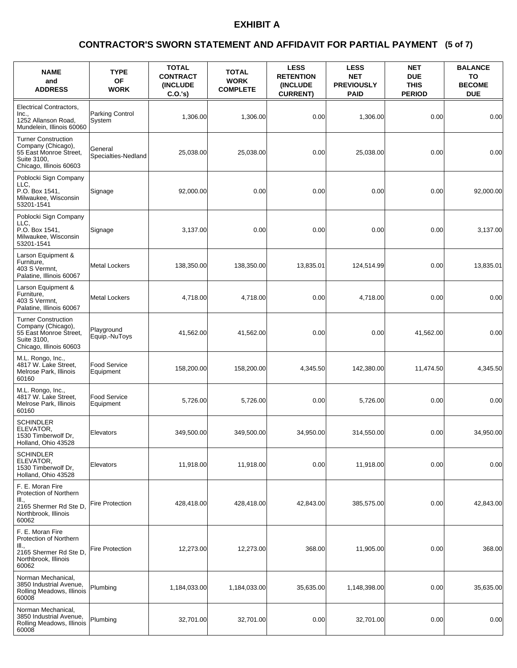### **(5 of 7) CONTRACTOR'S SWORN STATEMENT AND AFFIDAVIT FOR PARTIAL PAYMENT**

| <b>NAME</b><br>and<br><b>ADDRESS</b>                                                                                 | <b>TYPE</b><br><b>OF</b><br><b>WORK</b> | <b>TOTAL</b><br><b>CONTRACT</b><br><b>(INCLUDE)</b><br>C.O.'s | <b>TOTAL</b><br><b>WORK</b><br><b>COMPLETE</b> | <b>LESS</b><br><b>RETENTION</b><br>(INCLUDE<br><b>CURRENT)</b> | <b>LESS</b><br><b>NET</b><br><b>PREVIOUSLY</b><br><b>PAID</b> | <b>NET</b><br><b>DUE</b><br><b>THIS</b><br><b>PERIOD</b> | <b>BALANCE</b><br>TO<br><b>BECOME</b><br><b>DUE</b> |
|----------------------------------------------------------------------------------------------------------------------|-----------------------------------------|---------------------------------------------------------------|------------------------------------------------|----------------------------------------------------------------|---------------------------------------------------------------|----------------------------------------------------------|-----------------------------------------------------|
| <b>Electrical Contractors,</b><br>Inc.,<br>1252 Allanson Road,<br>Mundelein, Illinois 60060                          | Parking Control<br>System               | 1,306.00                                                      | 1,306.00                                       | 0.00                                                           | 1,306.00                                                      | 0.00                                                     | 0.00                                                |
| <b>Turner Construction</b><br>Company (Chicago),<br>55 East Monroe Street,<br>Suite 3100,<br>Chicago, Illinois 60603 | General<br>Specialties-Nedland          | 25,038.00                                                     | 25,038.00                                      | 0.00                                                           | 25,038.00                                                     | 0.00                                                     | 0.00                                                |
| Poblocki Sign Company<br>LLC.<br>P.O. Box 1541,<br>Milwaukee, Wisconsin<br>53201-1541                                | Signage                                 | 92,000.00                                                     | 0.00                                           | 0.00                                                           | 0.00                                                          | 0.00                                                     | 92,000.00                                           |
| Poblocki Sign Company<br>LLC.<br>P.O. Box 1541,<br>Milwaukee, Wisconsin<br>53201-1541                                | Signage                                 | 3,137.00                                                      | 0.00                                           | 0.00                                                           | 0.00                                                          | 0.00                                                     | 3,137.00                                            |
| Larson Equipment &<br>Furniture,<br>403 S Vermnt.<br>Palatine, Illinois 60067                                        | <b>Metal Lockers</b>                    | 138,350.00                                                    | 138,350.00                                     | 13,835.01                                                      | 124,514.99                                                    | 0.00                                                     | 13,835.01                                           |
| Larson Equipment &<br>Furniture.<br>403 S Vermnt,<br>Palatine, Illinois 60067                                        | <b>Metal Lockers</b>                    | 4,718.00                                                      | 4,718.00                                       | 0.00                                                           | 4,718.00                                                      | 0.00                                                     | 0.00                                                |
| <b>Turner Construction</b><br>Company (Chicago),<br>55 East Monroe Street,<br>Suite 3100,<br>Chicago, Illinois 60603 | Playground<br>Equip.-NuToys             | 41,562.00                                                     | 41,562.00                                      | 0.00                                                           | 0.00                                                          | 41,562.00                                                | 0.00                                                |
| M.L. Rongo, Inc.,<br>4817 W. Lake Street,<br>Melrose Park, Illinois<br>60160                                         | <b>Food Service</b><br>Equipment        | 158,200.00                                                    | 158,200.00                                     | 4,345.50                                                       | 142,380.00                                                    | 11,474.50                                                | 4,345.50                                            |
| M.L. Rongo, Inc.,<br>4817 W. Lake Street,<br>Melrose Park, Illinois<br>60160                                         | <b>Food Service</b><br>Equipment        | 5,726.00                                                      | 5,726.00                                       | 0.00                                                           | 5,726.00                                                      | 0.00                                                     | 0.00                                                |
| <b>SCHINDLER</b><br>ELEVATOR,<br>1530 Timberwolf Dr.<br>Holland, Ohio 43528                                          | Elevators                               | 349,500.00                                                    | 349,500.00                                     | 34,950.00                                                      | 314,550.00                                                    | 0.00                                                     | 34,950.00                                           |
| SCHINDLER<br>ELEVATOR,<br>1530 Timberwolf Dr,<br>Holland, Ohio 43528                                                 | Elevators                               | 11,918.00                                                     | 11,918.00                                      | 0.00                                                           | 11,918.00                                                     | 0.00                                                     | 0.00                                                |
| F. E. Moran Fire<br>Protection of Northern<br>III.,<br>2165 Shermer Rd Ste D,<br>Northbrook, Illinois<br>60062       | <b>Fire Protection</b>                  | 428,418.00                                                    | 428,418.00                                     | 42,843.00                                                      | 385,575.00                                                    | 0.00                                                     | 42,843.00                                           |
| F. E. Moran Fire<br>Protection of Northern<br>III.,<br>2165 Shermer Rd Ste D,<br>Northbrook, Illinois<br>60062       | <b>Fire Protection</b>                  | 12,273.00                                                     | 12,273.00                                      | 368.00                                                         | 11,905.00                                                     | 0.00                                                     | 368.00                                              |
| Norman Mechanical,<br>3850 Industrial Avenue,<br>Rolling Meadows, Illinois<br>60008                                  | Plumbing                                | 1,184,033.00                                                  | 1,184,033.00                                   | 35,635.00                                                      | 1,148,398.00                                                  | 0.00                                                     | 35,635.00                                           |
| Norman Mechanical,<br>3850 Industrial Avenue,<br>Rolling Meadows, Illinois<br>60008                                  | Plumbing                                | 32,701.00                                                     | 32,701.00                                      | 0.00                                                           | 32,701.00                                                     | 0.00                                                     | 0.00                                                |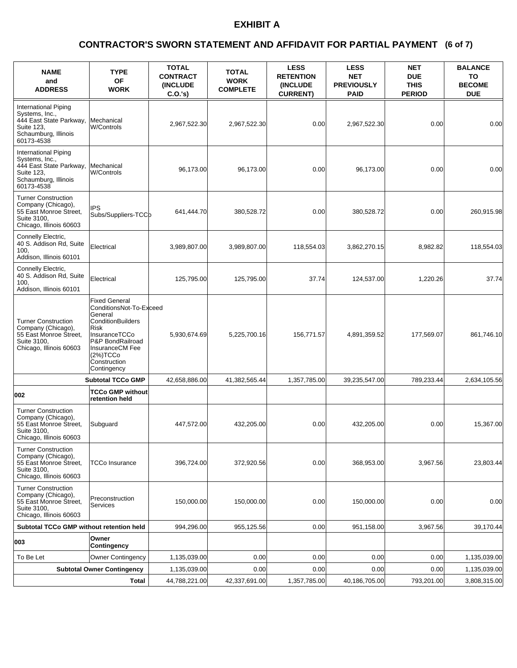### **(6 of 7) CONTRACTOR'S SWORN STATEMENT AND AFFIDAVIT FOR PARTIAL PAYMENT**

| <b>NAME</b><br>and<br><b>ADDRESS</b>                                                                                  | <b>TYPE</b><br><b>OF</b><br><b>WORK</b>                                                                                                                                                    | <b>TOTAL</b><br><b>CONTRACT</b><br><b>(INCLUDE)</b><br>C.O.'s | <b>TOTAL</b><br><b>WORK</b><br><b>COMPLETE</b> | <b>LESS</b><br><b>RETENTION</b><br>(INCLUDE<br><b>CURRENT)</b> | <b>LESS</b><br><b>NET</b><br><b>PREVIOUSLY</b><br><b>PAID</b> | <b>NET</b><br><b>DUE</b><br><b>THIS</b><br><b>PERIOD</b> | <b>BALANCE</b><br>TO<br><b>BECOME</b><br><b>DUE</b> |
|-----------------------------------------------------------------------------------------------------------------------|--------------------------------------------------------------------------------------------------------------------------------------------------------------------------------------------|---------------------------------------------------------------|------------------------------------------------|----------------------------------------------------------------|---------------------------------------------------------------|----------------------------------------------------------|-----------------------------------------------------|
| International Piping<br>Systems, Inc.,<br>444 East State Parkway,<br>Suite 123,<br>Schaumburg, Illinois<br>60173-4538 | Mechanical<br>W/Controls                                                                                                                                                                   | 2,967,522.30                                                  | 2,967,522.30                                   | 0.00                                                           | 2,967,522.30                                                  | 0.00                                                     | 0.00                                                |
| International Piping<br>Systems, Inc.,<br>444 East State Parkway,<br>Suite 123,<br>Schaumburg, Illinois<br>60173-4538 | Mechanical<br><b>W/Controls</b>                                                                                                                                                            | 96.173.00                                                     | 96,173.00                                      | 0.00                                                           | 96,173.00                                                     | 0.00                                                     | 0.00                                                |
| <b>Turner Construction</b><br>Company (Chicago),<br>55 East Monroe Street,<br>Suite 3100,<br>Chicago, Illinois 60603  | IPS<br>Subs/Suppliers-TCCb                                                                                                                                                                 | 641,444.70                                                    | 380,528.72                                     | 0.00                                                           | 380,528.72                                                    | 0.00                                                     | 260,915.98                                          |
| Connelly Electric,<br>40 S. Addison Rd, Suite<br>100,<br>Addison, Illinois 60101                                      | Electrical                                                                                                                                                                                 | 3,989,807.00                                                  | 3,989,807.00                                   | 118,554.03                                                     | 3,862,270.15                                                  | 8,982.82                                                 | 118,554.03                                          |
| Connelly Electric,<br>40 S. Addison Rd, Suite<br>100,<br>Addison, Illinois 60101                                      | Electrical                                                                                                                                                                                 | 125,795.00                                                    | 125,795.00                                     | 37.74                                                          | 124,537.00                                                    | 1,220.26                                                 | 37.74                                               |
| <b>Turner Construction</b><br>Company (Chicago),<br>55 East Monroe Street,<br>Suite 3100,<br>Chicago, Illinois 60603  | <b>Fixed General</b><br>ConditionsNot-To-Exceed<br>General<br>ConditionBuilders<br>Risk<br>InsuranceTCCo<br>P&P BondRailroad<br>InsuranceCM Fee<br>(2%)TCCO<br>Construction<br>Contingency | 5,930,674.69                                                  | 5,225,700.16                                   | 156,771.57                                                     | 4,891,359.52                                                  | 177,569.07                                               | 861,746.10                                          |
|                                                                                                                       | <b>Subtotal TCCo GMP</b>                                                                                                                                                                   | 42,658,886.00                                                 | 41,382,565.44                                  | 1,357,785.00                                                   | 39,235,547.00                                                 | 789,233.44                                               | 2,634,105.56                                        |
| 002                                                                                                                   | <b>TCCo GMP without</b><br>retention held                                                                                                                                                  |                                                               |                                                |                                                                |                                                               |                                                          |                                                     |
| <b>Turner Construction</b><br>Company (Chicago),<br>55 East Monroe Street,<br>Suite 3100,<br>Chicago, Illinois 60603  | Subguard                                                                                                                                                                                   | 447,572.00                                                    | 432,205.00                                     | 0.00                                                           | 432,205.00                                                    | 0.00                                                     | 15,367.00                                           |
| <b>Turner Construction</b><br>Company (Chicago),<br>55 East Monroe Street,<br>Suite 3100,<br>Chicago, Illinois 60603  | TCCo Insurance                                                                                                                                                                             | 396,724.00                                                    | 372,920.56                                     | 0.00                                                           | 368,953.00                                                    | 3,967.56                                                 | 23,803.44                                           |
| <b>Turner Construction</b><br>Company (Chicago),<br>55 East Monroe Street,<br>Suite 3100,<br>Chicago, Illinois 60603  | Preconstruction<br><b>Services</b>                                                                                                                                                         | 150,000.00                                                    | 150,000.00                                     | 0.00                                                           | 150,000.00                                                    | 0.00                                                     | 0.00                                                |
| Subtotal TCCo GMP without retention held                                                                              |                                                                                                                                                                                            | 994,296.00                                                    | 955,125.56                                     | 0.00                                                           | 951,158.00                                                    | 3,967.56                                                 | 39,170.44                                           |
| 003                                                                                                                   | Owner<br>Contingency                                                                                                                                                                       |                                                               |                                                |                                                                |                                                               |                                                          |                                                     |
| To Be Let                                                                                                             | <b>Owner Contingency</b>                                                                                                                                                                   | 1,135,039.00                                                  | 0.00                                           | 0.00                                                           | 0.00                                                          | 0.00                                                     | 1,135,039.00                                        |
|                                                                                                                       | <b>Subtotal Owner Contingency</b>                                                                                                                                                          | 1,135,039.00                                                  | 0.00                                           | 0.00                                                           | 0.00                                                          | 0.00                                                     | 1,135,039.00                                        |
|                                                                                                                       | Total                                                                                                                                                                                      | 44,788,221.00                                                 | 42,337,691.00                                  | 1,357,785.00                                                   | 40,186,705.00                                                 | 793,201.00                                               | 3,808,315.00                                        |